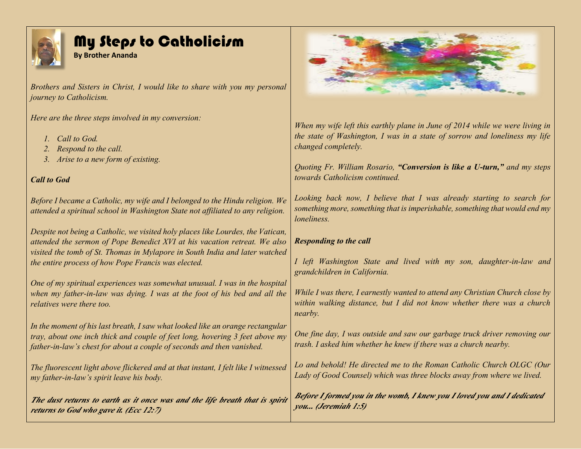

## My Steps to Catholicism

**By Brother Ananda**

*Brothers and Sisters in Christ, I would like to share with you my personal journey to Catholicism.*

*Here are the three steps involved in my conversion:*

- *1. Call to God.*
- *2. Respond to the call.*
- *3. Arise to a new form of existing.*

## *Call to God*

*Before I became a Catholic, my wife and I belonged to the Hindu religion. We attended a spiritual school in Washington State not affiliated to any religion.*

*Despite not being a Catholic, we visited holy places like Lourdes, the Vatican, attended the sermon of Pope Benedict XVI at his vacation retreat. We also visited the tomb of St. Thomas in Mylapore in South India and later watched the entire process of how Pope Francis was elected.*

*One of my spiritual experiences was somewhat unusual. I was in the hospital when my father-in-law was dying. I was at the foot of his bed and all the relatives were there too.*

*In the moment of his last breath, I saw what looked like an orange rectangular tray, about one inch thick and couple of feet long, hovering 3 feet above my father-in-law's chest for about a couple of seconds and then vanished.*

*The fluorescent light above flickered and at that instant, I felt like I witnessed my father-in-law's spirit leave his body.*

*The dust returns to earth as it once was and the life breath that is spirit returns to God who gave it. (Ecc 12:7)*



*When my wife left this earthly plane in June of 2014 while we were living in the state of Washington, I was in a state of sorrow and loneliness my life changed completely.*

*Quoting Fr. William Rosario, "Conversion is like a U-turn," and my steps towards Catholicism continued.* 

*Looking back now, I believe that I was already starting to search for something more, something that is imperishable, something that would end my loneliness.*

## *Responding to the call*

*I left Washington State and lived with my son, daughter-in-law and grandchildren in California.*

*While I was there, I earnestly wanted to attend any Christian Church close by within walking distance, but I did not know whether there was a church nearby.*

*One fine day, I was outside and saw our garbage truck driver removing our trash. I asked him whether he knew if there was a church nearby.*

*Lo and behold! He directed me to the Roman Catholic Church OLGC (Our Lady of Good Counsel) which was three blocks away from where we lived.*

*Before I formed you in the womb, I knew you I loved you and I dedicated you... (Jeremiah 1:5)*